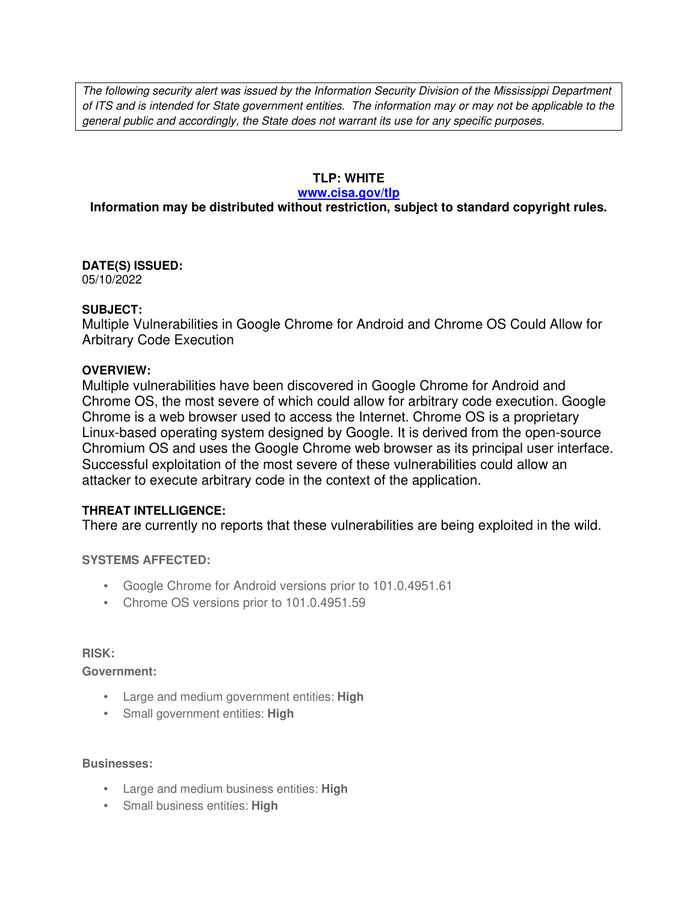The following security alert was issued by the Information Security Division of the Mississippi Department of ITS and is intended for State government entities. The information may or may not be applicable to the general public and accordingly, the State does not warrant its use for any specific purposes.

### **TLP: WHITE**

#### **www.cisa.gov/tlp**

## **Information may be distributed without restriction, subject to standard copyright rules.**

**DATE(S) ISSUED:** 05/10/2022

### **SUBJECT:**

Multiple Vulnerabilities in Google Chrome for Android and Chrome OS Could Allow for Arbitrary Code Execution

### **OVERVIEW:**

Multiple vulnerabilities have been discovered in Google Chrome for Android and Chrome OS, the most severe of which could allow for arbitrary code execution. Google Chrome is a web browser used to access the Internet. Chrome OS is a proprietary Linux-based operating system designed by Google. It is derived from the open-source Chromium OS and uses the Google Chrome web browser as its principal user interface. Successful exploitation of the most severe of these vulnerabilities could allow an attacker to execute arbitrary code in the context of the application.

### **THREAT INTELLIGENCE:**

There are currently no reports that these vulnerabilities are being exploited in the wild.

### **SYSTEMS AFFECTED:**

- Google Chrome for Android versions prior to 101.0.4951.61
- Chrome OS versions prior to 101.0.4951.59

#### **RISK:**

**Government:**

- Large and medium government entities: **High**
- Small government entities: **High**

#### **Businesses:**

- Large and medium business entities: **High**
- Small business entities: **High**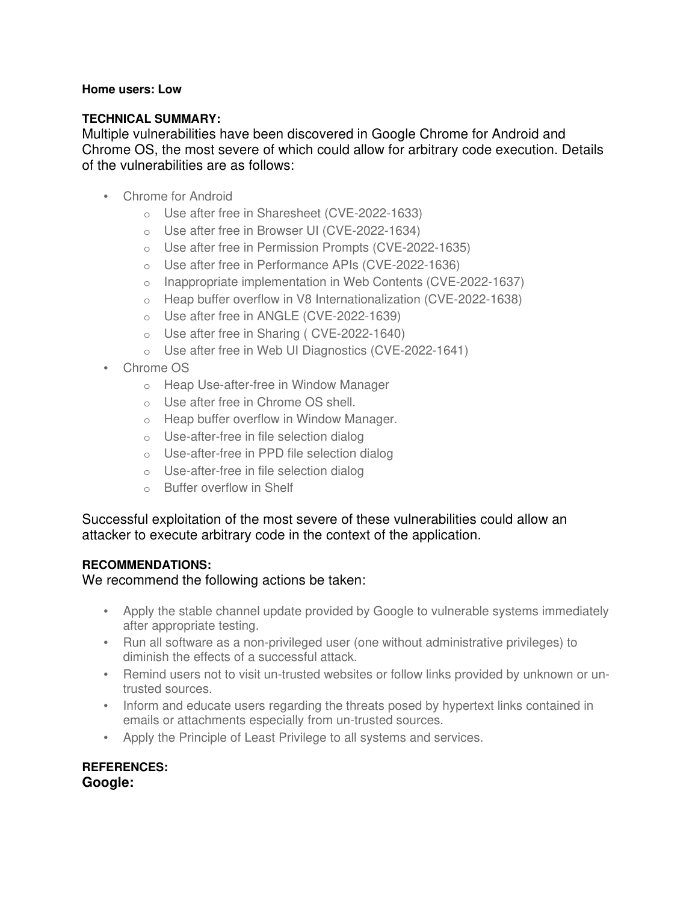### **Home users: Low**

### **TECHNICAL SUMMARY:**

Multiple vulnerabilities have been discovered in Google Chrome for Android and Chrome OS, the most severe of which could allow for arbitrary code execution. Details of the vulnerabilities are as follows:

- Chrome for Android
	- o Use after free in Sharesheet (CVE-2022-1633)
	- o Use after free in Browser UI (CVE-2022-1634)
	- o Use after free in Permission Prompts (CVE-2022-1635)
	- o Use after free in Performance APIs (CVE-2022-1636)
	- o Inappropriate implementation in Web Contents (CVE-2022-1637)
	- o Heap buffer overflow in V8 Internationalization (CVE-2022-1638)
	- o Use after free in ANGLE (CVE-2022-1639)
	- o Use after free in Sharing ( CVE-2022-1640)
	- o Use after free in Web UI Diagnostics (CVE-2022-1641)
- Chrome OS
	- o Heap Use-after-free in Window Manager
	- o Use after free in Chrome OS shell.
	- o Heap buffer overflow in Window Manager.
	- o Use-after-free in file selection dialog
	- o Use-after-free in PPD file selection dialog
	- o Use-after-free in file selection dialog
	- o Buffer overflow in Shelf

Successful exploitation of the most severe of these vulnerabilities could allow an attacker to execute arbitrary code in the context of the application.

### **RECOMMENDATIONS:**

We recommend the following actions be taken:

- Apply the stable channel update provided by Google to vulnerable systems immediately after appropriate testing.
- Run all software as a non-privileged user (one without administrative privileges) to diminish the effects of a successful attack.
- Remind users not to visit un-trusted websites or follow links provided by unknown or untrusted sources.
- Inform and educate users regarding the threats posed by hypertext links contained in emails or attachments especially from un-trusted sources.
- Apply the Principle of Least Privilege to all systems and services.

**REFERENCES: Google:**